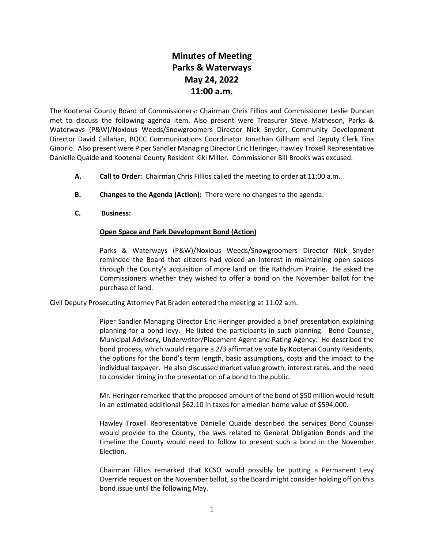## **Minutes of Meeting Parks & Waterways May 24, 2022 11:00 a.m.**

The Kootenai County Board of Commissioners: Chairman Chris Fillios and Commissioner Leslie Duncan met to discuss the following agenda item. Also present were Treasurer Steve Matheson, Parks & Waterways (P&W)/Noxious Weeds/Snowgroomers Director Nick Snyder, Community Development Director David Callahan, BOCC Communications Coordinator Jonathan Gillham and Deputy Clerk Tina Ginorio. Also present were Piper Sandler Managing Director Eric Heringer, Hawley Troxell Representative Danielle Quaide and Kootenai County Resident Kiki Miller. Commissioner Bill Brooks was excused.

- **A. Call to Order:** Chairman Chris Fillios called the meeting to order at 11:00 a.m.
- **B. Changes to the Agenda (Action):** There were no changes to the agenda.
- **C. Business:**

## **Open Space and Park Development Bond (Action)**

Parks & Waterways (P&W)/Noxious Weeds/Snowgroomers Director Nick Snyder reminded the Board that citizens had voiced an interest in maintaining open spaces through the County's acquisition of more land on the Rathdrum Prairie. He asked the Commissioners whether they wished to offer a bond on the November ballot for the purchase of land.

Civil Deputy Prosecuting Attorney Pat Braden entered the meeting at 11:02 a.m.

Piper Sandler Managing Director Eric Heringer provided a brief presentation explaining planning for a bond levy. He listed the participants in such planning: Bond Counsel, Municipal Advisory, Underwriter/Placement Agent and Rating Agency. He described the bond process, which would require a 2/3 affirmative vote by Kootenai County Residents, the options for the bond's term length, basic assumptions, costs and the impact to the individual taxpayer. He also discussed market value growth, interest rates, and the need to consider timing in the presentation of a bond to the public.

Mr. Heringer remarked that the proposed amount of the bond of \$50 million would result in an estimated additional \$62.10 in taxes for a median home value of \$594,000.

Hawley Troxell Representative Danielle Quaide described the services Bond Counsel would provide to the County, the laws related to General Obligation Bonds and the timeline the County would need to follow to present such a bond in the November Election.

Chairman Fillios remarked that KCSO would possibly be putting a Permanent Levy Override request on the November ballot, so the Board might consider holding off on this bond issue until the following May.